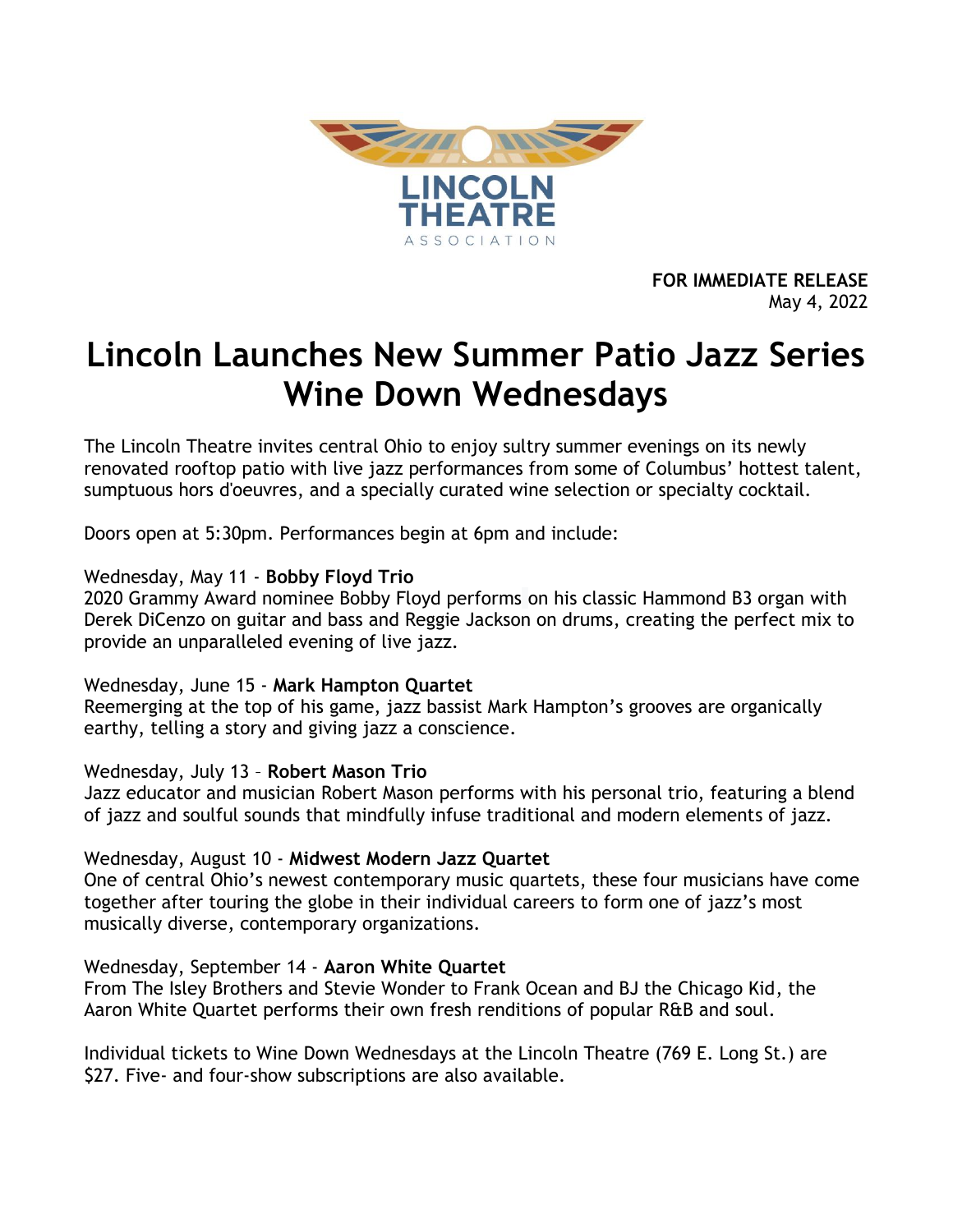

**FOR IMMEDIATE RELEASE** May 4, 2022

# **Lincoln Launches New Summer Patio Jazz Series Wine Down Wednesdays**

The Lincoln Theatre invites central Ohio to enjoy sultry summer evenings on its newly renovated rooftop patio with live jazz performances from some of Columbus' hottest talent, sumptuous hors d'oeuvres, and a specially curated wine selection or specialty cocktail.

Doors open at 5:30pm. Performances begin at 6pm and include:

## Wednesday, May 11 - **Bobby Floyd Trio**

2020 Grammy Award nominee Bobby Floyd performs on his classic Hammond B3 organ with Derek DiCenzo on guitar and bass and Reggie Jackson on drums, creating the perfect mix to provide an unparalleled evening of live jazz.

### Wednesday, June 15 - **Mark Hampton Quartet**

Reemerging at the top of his game, jazz bassist Mark Hampton's grooves are organically earthy, telling a story and giving jazz a conscience.

### Wednesday, July 13 – **Robert Mason Trio**

Jazz educator and musician Robert Mason performs with his personal trio, featuring a blend of jazz and soulful sounds that mindfully infuse traditional and modern elements of jazz.

### Wednesday, August 10 - **Midwest Modern Jazz Quartet**

One of central Ohio's newest contemporary music quartets, these four musicians have come together after touring the globe in their individual careers to form one of jazz's most musically diverse, contemporary organizations.

### Wednesday, September 14 - **Aaron White Quartet**

From The Isley Brothers and Stevie Wonder to Frank Ocean and BJ the Chicago Kid, the Aaron White Quartet performs their own fresh renditions of popular R&B and soul.

Individual tickets to Wine Down Wednesdays at the Lincoln Theatre (769 E. Long St.) are \$27. Five- and four-show subscriptions are also available.